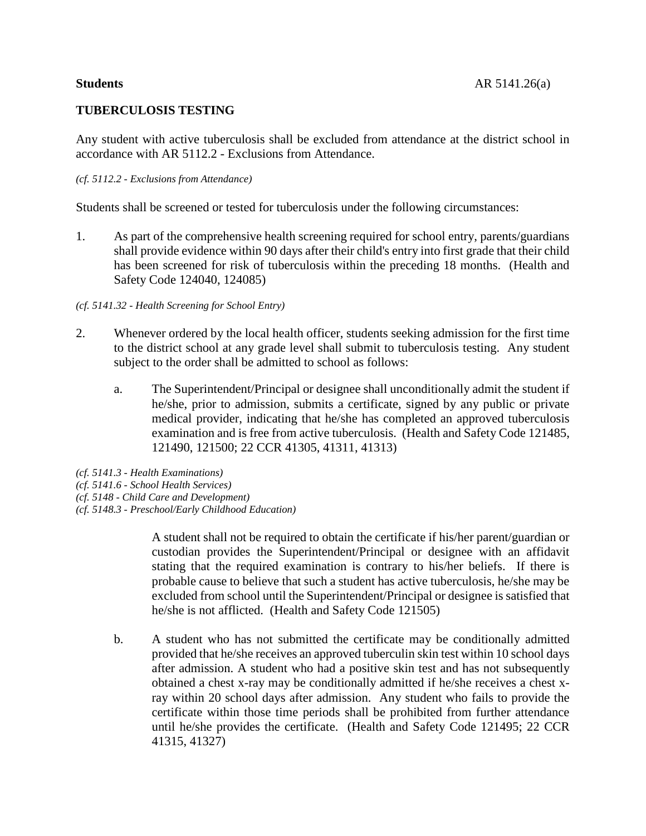# **TUBERCULOSIS TESTING**

Any student with active tuberculosis shall be excluded from attendance at the district school in accordance with AR 5112.2 - Exclusions from Attendance.

## *(cf. 5112.2 - Exclusions from Attendance)*

Students shall be screened or tested for tuberculosis under the following circumstances:

1. As part of the comprehensive health screening required for school entry, parents/guardians shall provide evidence within 90 days after their child's entry into first grade that their child has been screened for risk of tuberculosis within the preceding 18 months. (Health and Safety Code 124040, 124085)

# *(cf. 5141.32 - Health Screening for School Entry)*

- 2. Whenever ordered by the local health officer, students seeking admission for the first time to the district school at any grade level shall submit to tuberculosis testing. Any student subject to the order shall be admitted to school as follows:
	- a. The Superintendent/Principal or designee shall unconditionally admit the student if he/she, prior to admission, submits a certificate, signed by any public or private medical provider, indicating that he/she has completed an approved tuberculosis examination and is free from active tuberculosis. (Health and Safety Code 121485, 121490, 121500; 22 CCR 41305, 41311, 41313)

*(cf. 5141.3 - Health Examinations) (cf. 5141.6 - School Health Services) (cf. 5148 - Child Care and Development)*

*(cf. 5148.3 - Preschool/Early Childhood Education)*

A student shall not be required to obtain the certificate if his/her parent/guardian or custodian provides the Superintendent/Principal or designee with an affidavit stating that the required examination is contrary to his/her beliefs. If there is probable cause to believe that such a student has active tuberculosis, he/she may be excluded from school until the Superintendent/Principal or designee is satisfied that he/she is not afflicted. (Health and Safety Code 121505)

b. A student who has not submitted the certificate may be conditionally admitted provided that he/she receives an approved tuberculin skin test within 10 school days after admission. A student who had a positive skin test and has not subsequently obtained a chest x-ray may be conditionally admitted if he/she receives a chest xray within 20 school days after admission. Any student who fails to provide the certificate within those time periods shall be prohibited from further attendance until he/she provides the certificate. (Health and Safety Code 121495; 22 CCR 41315, 41327)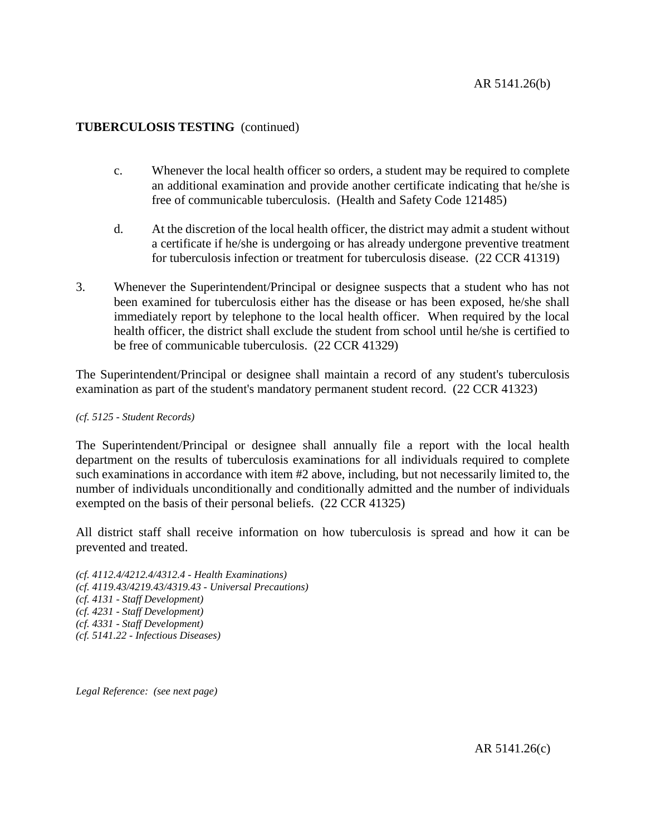# **TUBERCULOSIS TESTING** (continued)

- c. Whenever the local health officer so orders, a student may be required to complete an additional examination and provide another certificate indicating that he/she is free of communicable tuberculosis. (Health and Safety Code 121485)
- d. At the discretion of the local health officer, the district may admit a student without a certificate if he/she is undergoing or has already undergone preventive treatment for tuberculosis infection or treatment for tuberculosis disease. (22 CCR 41319)
- 3. Whenever the Superintendent/Principal or designee suspects that a student who has not been examined for tuberculosis either has the disease or has been exposed, he/she shall immediately report by telephone to the local health officer. When required by the local health officer, the district shall exclude the student from school until he/she is certified to be free of communicable tuberculosis. (22 CCR 41329)

The Superintendent/Principal or designee shall maintain a record of any student's tuberculosis examination as part of the student's mandatory permanent student record. (22 CCR 41323)

## *(cf. 5125 - Student Records)*

The Superintendent/Principal or designee shall annually file a report with the local health department on the results of tuberculosis examinations for all individuals required to complete such examinations in accordance with item #2 above, including, but not necessarily limited to, the number of individuals unconditionally and conditionally admitted and the number of individuals exempted on the basis of their personal beliefs. (22 CCR 41325)

All district staff shall receive information on how tuberculosis is spread and how it can be prevented and treated.

*(cf. 4112.4/4212.4/4312.4 - Health Examinations) (cf. 4119.43/4219.43/4319.43 - Universal Precautions) (cf. 4131 - Staff Development) (cf. 4231 - Staff Development) (cf. 4331 - Staff Development) (cf. 5141.22 - Infectious Diseases)*

*Legal Reference: (see next page)*